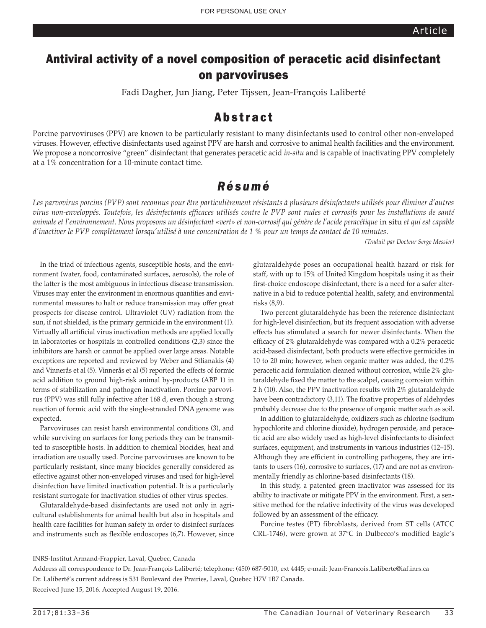# Antiviral activity of a novel composition of peracetic acid disinfectant on parvoviruses

Fadi Dagher, Jun Jiang, Peter Tijssen, Jean-François Laliberté

## Abstract

Porcine parvoviruses (PPV) are known to be particularly resistant to many disinfectants used to control other non-enveloped viruses. However, effective disinfectants used against PPV are harsh and corrosive to animal health facilities and the environment. We propose a noncorrosive "green" disinfectant that generates peracetic acid *in-situ* and is capable of inactivating PPV completely at a 1% concentration for a 10-minute contact time.

## *Résumé*

*Les parvovirus porcins (PVP) sont reconnus pour être particulièrement résistants à plusieurs désinfectants utilisés pour éliminer d'autres virus non-enveloppés. Toutefois, les désinfectants efficaces utilisés contre le PVP sont rudes et corrosifs pour les installations de santé animale et l'environnement. Nous proposons un désinfectant «vert» et non-corrosif qui génère de l'acide peracétique* in situ *et qui est capable d'inactiver le PVP complètement lorsqu'utilisé à une concentration de 1 % pour un temps de contact de 10 minutes.*

*(Traduit par Docteur Serge Messier)* 

In the triad of infectious agents, susceptible hosts, and the environment (water, food, contaminated surfaces, aerosols), the role of the latter is the most ambiguous in infectious disease transmission. Viruses may enter the environment in enormous quantities and environmental measures to halt or reduce transmission may offer great prospects for disease control. Ultraviolet (UV) radiation from the sun, if not shielded, is the primary germicide in the environment (1). Virtually all artificial virus inactivation methods are applied locally in laboratories or hospitals in controlled conditions (2,3) since the inhibitors are harsh or cannot be applied over large areas. Notable exceptions are reported and reviewed by Weber and Stlianakis (4) and Vinnerås et al (5). Vinnerås et al (5) reported the effects of formic acid addition to ground high-risk animal by-products (ABP 1) in terms of stabilization and pathogen inactivation. Porcine parvovirus (PPV) was still fully infective after 168 d, even though a strong reaction of formic acid with the single-stranded DNA genome was expected.

Parvoviruses can resist harsh environmental conditions (3), and while surviving on surfaces for long periods they can be transmitted to susceptible hosts. In addition to chemical biocides, heat and irradiation are usually used. Porcine parvoviruses are known to be particularly resistant, since many biocides generally considered as effective against other non-enveloped viruses and used for high-level disinfection have limited inactivation potential. It is a particularly resistant surrogate for inactivation studies of other virus species.

Glutaraldehyde-based disinfectants are used not only in agricultural establishments for animal health but also in hospitals and health care facilities for human safety in order to disinfect surfaces and instruments such as flexible endoscopes (6,7). However, since glutaraldehyde poses an occupational health hazard or risk for staff, with up to 15% of United Kingdom hospitals using it as their first-choice endoscope disinfectant, there is a need for a safer alternative in a bid to reduce potential health, safety, and environmental risks (8,9).

Two percent glutaraldehyde has been the reference disinfectant for high-level disinfection, but its frequent association with adverse effects has stimulated a search for newer disinfectants. When the efficacy of 2% glutaraldehyde was compared with a 0.2% peracetic acid-based disinfectant, both products were effective germicides in 10 to 20 min; however, when organic matter was added, the 0.2% peracetic acid formulation cleaned without corrosion, while 2% glutaraldehyde fixed the matter to the scalpel, causing corrosion within 2 h (10). Also, the PPV inactivation results with 2% glutaraldehyde have been contradictory (3,11). The fixative properties of aldehydes probably decrease due to the presence of organic matter such as soil.

In addition to glutaraldehyde, oxidizers such as chlorine (sodium hypochlorite and chlorine dioxide), hydrogen peroxide, and peracetic acid are also widely used as high-level disinfectants to disinfect surfaces, equipment, and instruments in various industries (12–15). Although they are efficient in controlling pathogens, they are irritants to users (16), corrosive to surfaces, (17) and are not as environmentally friendly as chlorine-based disinfectants (18).

In this study, a patented green inactivator was assessed for its ability to inactivate or mitigate PPV in the environment. First, a sensitive method for the relative infectivity of the virus was developed followed by an assessment of the efficacy.

Porcine testes (PT) fibroblasts, derived from ST cells (ATCC CRL-1746), were grown at 37°C in Dulbecco's modified Eagle's

INRS-Institut Armand-Frappier, Laval, Quebec, Canada

Address all correspondence to Dr. Jean-François Laliberté; telephone: (450) 687-5010, ext 4445; e-mail: Jean-Francois.Laliberte@iaf.inrs.ca Dr. Laliberté's current address is 531 Boulevard des Prairies, Laval, Quebec H7V 1B7 Canada. Received June 15, 2016. Accepted August 19, 2016.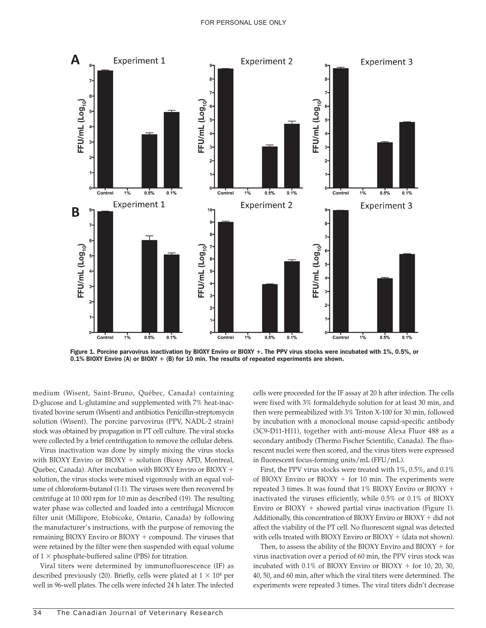

Figure 1. Porcine parvovirus inactivation by BIOXY Enviro or BIOXY +. The PPV virus stocks were incubated with 1%, 0.5%, or

medium (Wisent, Saint-Bruno, Québec, Canada) containing D-glucose and L-glutamine and supplemented with 7% heat-inactivated bovine serum (Wisent) and antibiotics Penicillin-streptomycin solution (Wisent). The porcine parvovirus (PPV, NADL-2 strain) stock was obtained by propagation in PT cell culture. The viral stocks were collected by a brief centrifugation to remove the cellular debris.

Virus inactivation was done by simply mixing the virus stocks with BIOXY Enviro or BIOXY  $+$  solution (Bioxy AFD, Montreal, Quebec, Canada). After incubation with BIOXY Enviro or BIOXY + solution, the virus stocks were mixed vigorously with an equal volume of chloroform-butanol (1:1). The viruses were then recovered by centrifuge at 10 000 rpm for 10 min as described (19). The resulting water phase was collected and loaded into a centrifugal Microcon filter unit (Millipore, Etobicoke, Ontario, Canada) by following the manufacturer's instructions, with the purpose of removing the remaining BIOXY Enviro or  $BIOXY + compound$ . The viruses that were retained by the filter were then suspended with equal volume of  $1 \times$  phosphate-buffered saline (PBS) for titration.

Viral titers were determined by immunofluorescence (IF) as described previously (20). Briefly, cells were plated at  $1 \times 10^4$  per well in 96-well plates. The cells were infected 24 h later. The infected

cells were proceeded for the IF assay at 20 h after infection. The cells were fixed with 3% formaldehyde solution for at least 30 min, and then were permeabilized with 3% Triton X-100 for 30 min, followed by incubation with a monoclonal mouse capsid-specific antibody (3C9-D11-H11), together with anti-mouse Alexa Fluor 488 as a secondary antibody (Thermo Fischer Scientific, Canada). The fluorescent nuclei were then scored, and the virus titers were expressed in fluorescent focus-forming units/mL (FFU/mL).

First, the PPV virus stocks were treated with 1%, 0.5%, and 0.1% of BIOXY Enviro or BIOXY  $+$  for 10 min. The experiments were repeated 3 times. It was found that  $1\%$  BIOXY Enviro or BIOXY + inactivated the viruses efficiently, while 0.5% or 0.1% of BIOXY Enviro or  $BIOXY$  + showed partial virus inactivation (Figure 1). Additionally, this concentration of BIOXY Enviro or BIOXY + did not affect the viability of the PT cell. No fluorescent signal was detected with cells treated with BIOXY Enviro or BIOXY  $+$  (data not shown).

Then, to assess the ability of the BIOXY Enviro and BIOXY  $+$  for virus inactivation over a period of 60 min, the PPV virus stock was incubated with  $0.1\%$  of BIOXY Enviro or BIOXY + for 10, 20, 30, 40, 50, and 60 min, after which the viral titers were determined. The experiments were repeated 3 times. The viral titers didn't decrease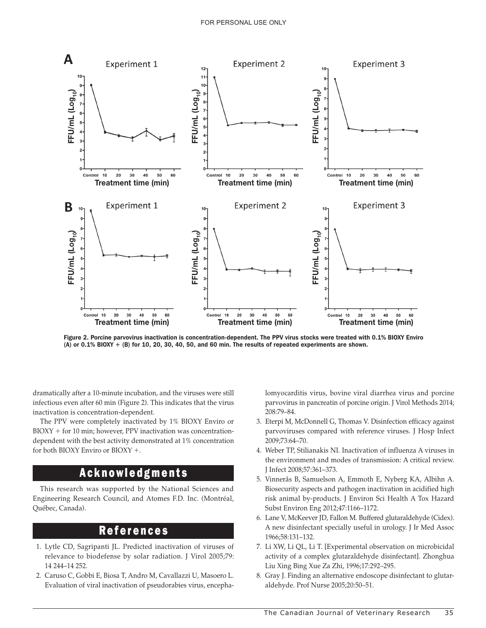

Figure 2. Porcine parvovirus inactivation is concentration-dependent. The PPV virus stocks were treated with 0.1% BIOXY Enviro

dramatically after a 10-minute incubation, and the viruses were still infectious even after 60 min (Figure 2). This indicates that the virus inactivation is concentration-dependent.

The PPV were completely inactivated by 1% BIOXY Enviro or BIOXY + for 10 min; however, PPV inactivation was concentrationdependent with the best activity demonstrated at 1% concentration for both BIOXY Enviro or BIOXY  $+$ .

#### Acknowledgments

This research was supported by the National Sciences and Engineering Research Council, and Atomes F.D. Inc. (Montréal, Québec, Canada).

#### **References**

- 1. Lytle CD, Sagripanti JL. Predicted inactivation of viruses of relevance to biodefense by solar radiation. J Virol 2005;79: 14 244–14 252.
- 2. Caruso C, Gobbi E, Biosa T, Andro M, Cavallazzi U, Masoero L. Evaluation of viral inactivation of pseudorabies virus, encepha-

lomyocarditis virus, bovine viral diarrhea virus and porcine parvovirus in pancreatin of porcine origin. J Virol Methods 2014; 208:79–84.

- 3. Eterpi M, McDonnell G, Thomas V. Disinfection efficacy against parvoviruses compared with reference viruses. J Hosp Infect 2009;73:64–70.
- 4. Weber TP, Stilianakis NI. Inactivation of influenza A viruses in the environment and modes of transmission: A critical review. J Infect 2008;57:361–373.
- 5. Vinnerås B, Samuelson A, Emmoth E, Nyberg KA, Albihn A. Biosecurity aspects and pathogen inactivation in acidified high risk animal by-products. J Environ Sci Health A Tox Hazard Subst Environ Eng 2012;47:1166–1172.
- 6. Lane V, McKeever JD, Fallon M. Buffered glutaraldehyde (Cidex). A new disinfectant specially useful in urology. J Ir Med Assoc 1966;58:131–132.
- 7. Li XW, Li QL, Li T. [Experimental observation on microbicidal activity of a complex glutaraldehyde disinfectant]. Zhonghua Liu Xing Bing Xue Za Zhi, 1996;17:292–295.
- 8. Gray J. Finding an alternative endoscope disinfectant to glutaraldehyde. Prof Nurse 2005;20:50–51.